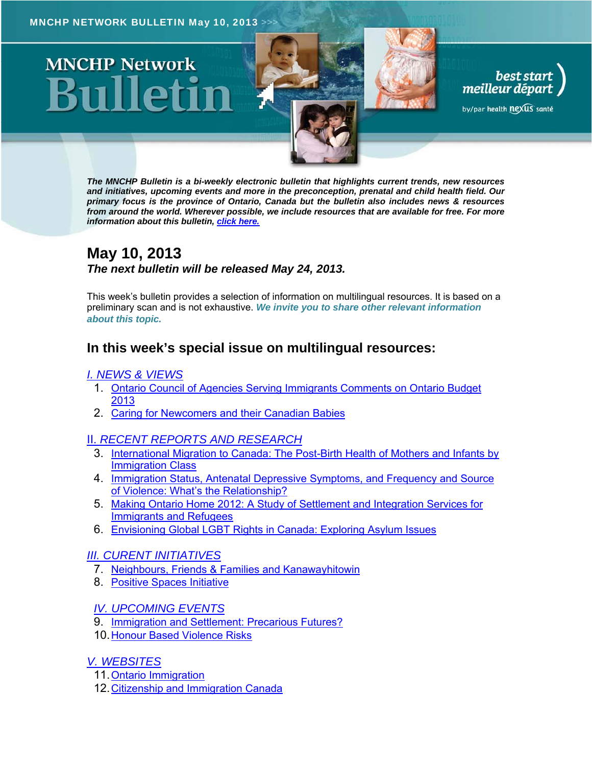# **MNCHP Network**

*The MNCHP Bulletin is a bi-weekly electronic bulletin that highlights current trends, new resources and initiatives, upcoming events and more in the preconception, prenatal and child health field. Our primary focus is the province of Ontario, Canada but the bulletin also includes news & resources from around the world. Wherever possible, we include resources that are available for free. For more information about this bulletin, click here.*

best start<br>meilleur départ

by/par health nexus santé

## **May 10, 2013**  *The next bulletin will be released May 24, 2013.*

This week's bulletin provides a selection of information on multilingual resources. It is based on a preliminary scan and is not exhaustive. *We invite you to share other relevant information about this topic.*

## **In this week's special issue on multilingual resources:**

## *I. NEWS & VIEWS*

- 1. Ontario Council of Agencies Serving Immigrants Comments on Ontario Budget 2013
- 2. Caring for Newcomers and their Canadian Babies

## II. *RECENT REPORTS AND RESEARCH*

- 3. International Migration to Canada: The Post-Birth Health of Mothers and Infants by Immigration Class
- 4. Immigration Status, Antenatal Depressive Symptoms, and Frequency and Source of Violence: What's the Relationship?
- 5. Making Ontario Home 2012: A Study of Settlement and Integration Services for Immigrants and Refugees
- 6. Envisioning Global LGBT Rights in Canada: Exploring Asylum Issues

## *III. CURENT INITIATIVES*

- 7. Neighbours, Friends & Families and Kanawayhitowin
- 8. Positive Spaces Initiative

## *IV. UPCOMING EVENTS*

- 9. Immigration and Settlement: Precarious Futures?
- 10. Honour Based Violence Risks

## *V. WEBSITES*

- 11. Ontario Immigration
- 12. Citizenship and Immigration Canada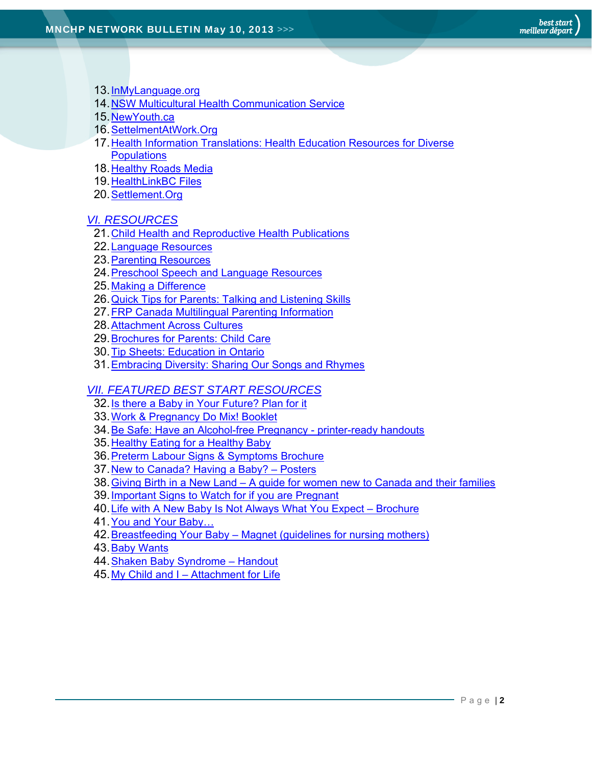- 13. InMyLanguage.org
- 14. NSW Multicultural Health Communication Service
- 15. NewYouth.ca
- 16. SettelmentAtWork.Org
- 17. Health Information Translations: Health Education Resources for Diverse **Populations**
- 18. Healthy Roads Media
- 19. HealthLinkBC Files
- 20. Settlement.Org

## *VI. RESOURCES*

- 21. Child Health and Reproductive Health Publications
- 22. Language Resources
- 23. Parenting Resources
- 24. Preschool Speech and Language Resources
- 25. Making a Difference
- 26. Quick Tips for Parents: Talking and Listening Skills
- 27. FRP Canada Multilingual Parenting Information
- 28. Attachment Across Cultures
- 29. Brochures for Parents: Child Care
- 30. Tip Sheets: Education in Ontario
- 31. Embracing Diversity: Sharing Our Songs and Rhymes

## *VII. FEATURED BEST START RESOURCES*

- 32. Is there a Baby in Your Future? Plan for it
- 33. Work & Pregnancy Do Mix! Booklet
- 34. Be Safe: Have an Alcohol-free Pregnancy printer-ready handouts
- 35. Healthy Eating for a Healthy Baby
- 36. Preterm Labour Signs & Symptoms Brochure
- 37. New to Canada? Having a Baby? Posters
- 38. Giving Birth in a New Land A guide for women new to Canada and their families
- 39. Important Signs to Watch for if you are Pregnant
- 40. Life with A New Baby Is Not Always What You Expect Brochure
- 41. You and Your Baby…
- 42. Breastfeeding Your Baby Magnet (guidelines for nursing mothers)
- 43. Baby Wants
- 44. Shaken Baby Syndrome Handout
- 45. My Child and I Attachment for Life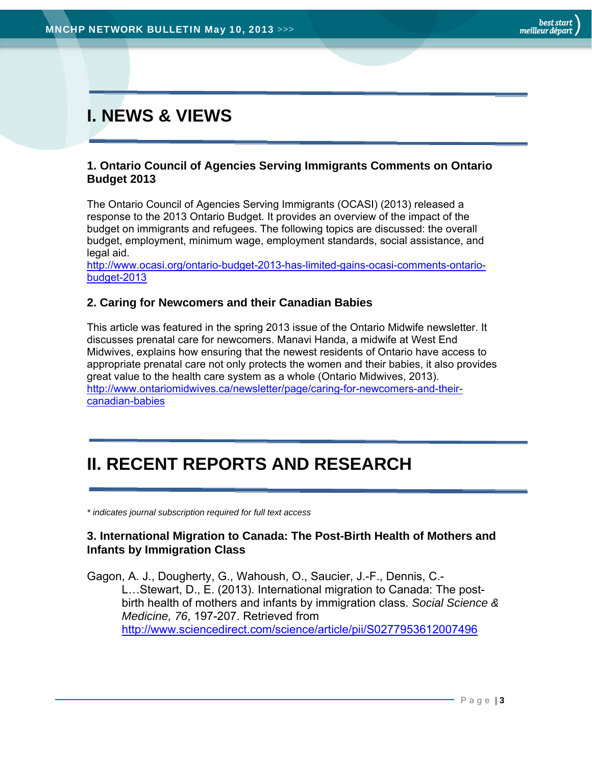# **I. NEWS & VIEWS**

## **1. Ontario Council of Agencies Serving Immigrants Comments on Ontario Budget 2013**

The Ontario Council of Agencies Serving Immigrants (OCASI) (2013) released a response to the 2013 Ontario Budget. It provides an overview of the impact of the budget on immigrants and refugees. The following topics are discussed: the overall budget, employment, minimum wage, employment standards, social assistance, and legal aid.

http://www.ocasi.org/ontario-budget-2013-has-limited-gains-ocasi-comments-ontariobudget-2013

## **2. Caring for Newcomers and their Canadian Babies**

This article was featured in the spring 2013 issue of the Ontario Midwife newsletter. It discusses prenatal care for newcomers. Manavi Handa, a midwife at West End Midwives, explains how ensuring that the newest residents of Ontario have access to appropriate prenatal care not only protects the women and their babies, it also provides great value to the health care system as a whole (Ontario Midwives, 2013). http://www.ontariomidwives.ca/newsletter/page/caring-for-newcomers-and-theircanadian-babies

## **II. RECENT REPORTS AND RESEARCH**

*\* indicates journal subscription required for full text access*

## **3. International Migration to Canada: The Post-Birth Health of Mothers and Infants by Immigration Class**

Gagon, A. J., Dougherty, G., Wahoush, O., Saucier, J.-F., Dennis, C.- L…Stewart, D., E. (2013). International migration to Canada: The postbirth health of mothers and infants by immigration class. *Social Science & Medicine, 76*, 197-207. Retrieved from http://www.sciencedirect.com/science/article/pii/S0277953612007496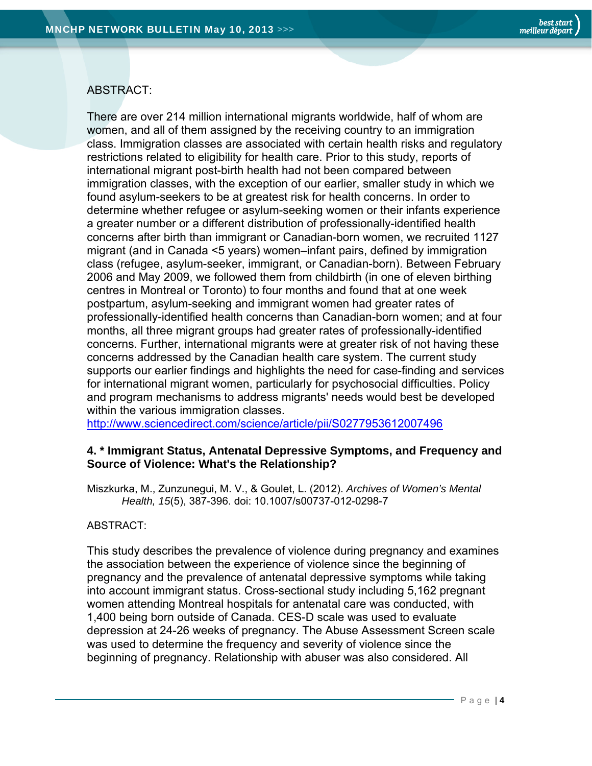## ABSTRACT:

There are over 214 million international migrants worldwide, half of whom are women, and all of them assigned by the receiving country to an immigration class. Immigration classes are associated with certain health risks and regulatory restrictions related to eligibility for health care. Prior to this study, reports of international migrant post-birth health had not been compared between immigration classes, with the exception of our earlier, smaller study in which we found asylum-seekers to be at greatest risk for health concerns. In order to determine whether refugee or asylum-seeking women or their infants experience a greater number or a different distribution of professionally-identified health concerns after birth than immigrant or Canadian-born women, we recruited 1127 migrant (and in Canada <5 years) women–infant pairs, defined by immigration class (refugee, asylum-seeker, immigrant, or Canadian-born). Between February 2006 and May 2009, we followed them from childbirth (in one of eleven birthing centres in Montreal or Toronto) to four months and found that at one week postpartum, asylum-seeking and immigrant women had greater rates of professionally-identified health concerns than Canadian-born women; and at four months, all three migrant groups had greater rates of professionally-identified concerns. Further, international migrants were at greater risk of not having these concerns addressed by the Canadian health care system. The current study supports our earlier findings and highlights the need for case-finding and services for international migrant women, particularly for psychosocial difficulties. Policy and program mechanisms to address migrants' needs would best be developed within the various immigration classes.

http://www.sciencedirect.com/science/article/pii/S0277953612007496

## **4. \* Immigrant Status, Antenatal Depressive Symptoms, and Frequency and Source of Violence: What's the Relationship?**

Miszkurka, M., Zunzunegui, M. V., & Goulet, L. (2012). *Archives of Women's Mental Health, 15*(5), 387-396. doi: 10.1007/s00737-012-0298-7

## ABSTRACT:

This study describes the prevalence of violence during pregnancy and examines the association between the experience of violence since the beginning of pregnancy and the prevalence of antenatal depressive symptoms while taking into account immigrant status. Cross-sectional study including 5,162 pregnant women attending Montreal hospitals for antenatal care was conducted, with 1,400 being born outside of Canada. CES-D scale was used to evaluate depression at 24-26 weeks of pregnancy. The Abuse Assessment Screen scale was used to determine the frequency and severity of violence since the beginning of pregnancy. Relationship with abuser was also considered. All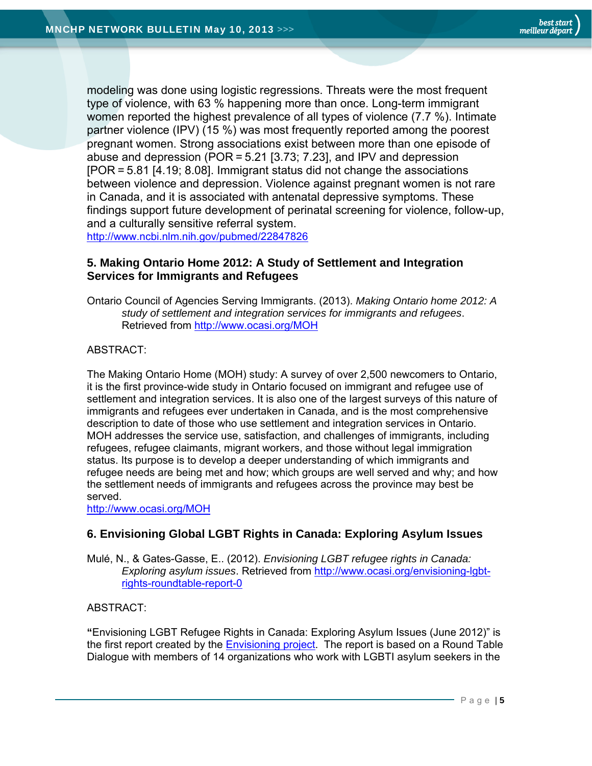modeling was done using logistic regressions. Threats were the most frequent type of violence, with 63 % happening more than once. Long-term immigrant women reported the highest prevalence of all types of violence (7.7 %). Intimate partner violence (IPV) (15 %) was most frequently reported among the poorest pregnant women. Strong associations exist between more than one episode of abuse and depression (POR = 5.21 [3.73; 7.23], and IPV and depression [POR = 5.81 [4.19; 8.08]. Immigrant status did not change the associations between violence and depression. Violence against pregnant women is not rare in Canada, and it is associated with antenatal depressive symptoms. These findings support future development of perinatal screening for violence, follow-up, and a culturally sensitive referral system. http://www.ncbi.nlm.nih.gov/pubmed/22847826

## **5. Making Ontario Home 2012: A Study of Settlement and Integration Services for Immigrants and Refugees**

Ontario Council of Agencies Serving Immigrants. (2013). *Making Ontario home 2012: A study of settlement and integration services for immigrants and refugees*. Retrieved from http://www.ocasi.org/MOH

#### ABSTRACT:

The Making Ontario Home (MOH) study: A survey of over 2,500 newcomers to Ontario, it is the first province-wide study in Ontario focused on immigrant and refugee use of settlement and integration services. It is also one of the largest surveys of this nature of immigrants and refugees ever undertaken in Canada, and is the most comprehensive description to date of those who use settlement and integration services in Ontario. MOH addresses the service use, satisfaction, and challenges of immigrants, including refugees, refugee claimants, migrant workers, and those without legal immigration status. Its purpose is to develop a deeper understanding of which immigrants and refugee needs are being met and how; which groups are well served and why; and how the settlement needs of immigrants and refugees across the province may best be served.

http://www.ocasi.org/MOH

## **6. Envisioning Global LGBT Rights in Canada: Exploring Asylum Issues**

Mulé, N., & Gates-Gasse, E.. (2012). *Envisioning LGBT refugee rights in Canada: Exploring asylum issues*. Retrieved from http://www.ocasi.org/envisioning-lgbtrights-roundtable-report-0

## ABSTRACT:

**"**Envisioning LGBT Refugee Rights in Canada: Exploring Asylum Issues (June 2012)" is the first report created by the Envisioning project. The report is based on a Round Table Dialogue with members of 14 organizations who work with LGBTI asylum seekers in the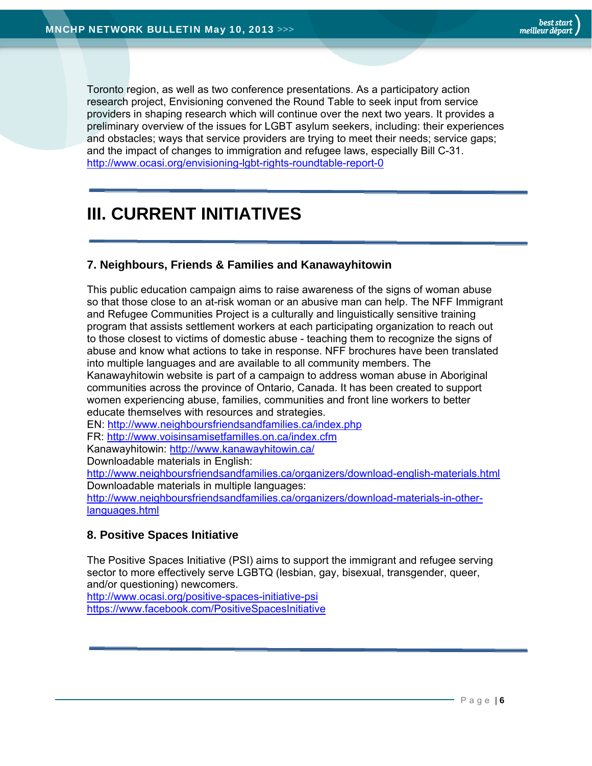Toronto region, as well as two conference presentations. As a participatory action research project, Envisioning convened the Round Table to seek input from service providers in shaping research which will continue over the next two years. It provides a preliminary overview of the issues for LGBT asylum seekers, including: their experiences and obstacles; ways that service providers are trying to meet their needs; service gaps; and the impact of changes to immigration and refugee laws, especially Bill C-31. http://www.ocasi.org/envisioning-lgbt-rights-roundtable-report-0

## **III. CURRENT INITIATIVES**

## **7. Neighbours, Friends & Families and Kanawayhitowin**

This public education campaign aims to raise awareness of the signs of woman abuse so that those close to an at-risk woman or an abusive man can help. The NFF Immigrant and Refugee Communities Project is a culturally and linguistically sensitive training program that assists settlement workers at each participating organization to reach out to those closest to victims of domestic abuse - teaching them to recognize the signs of abuse and know what actions to take in response. NFF brochures have been translated into multiple languages and are available to all community members. The Kanawayhitowin website is part of a campaign to address woman abuse in Aboriginal communities across the province of Ontario, Canada. It has been created to support women experiencing abuse, families, communities and front line workers to better educate themselves with resources and strategies. EN: http://www.neighboursfriendsandfamilies.ca/index.php

FR: http://www.voisinsamisetfamilles.on.ca/index.cfm

Kanawayhitowin: http://www.kanawayhitowin.ca/

Downloadable materials in English:

http://www.neighboursfriendsandfamilies.ca/organizers/download-english-materials.html Downloadable materials in multiple languages:

http://www.neighboursfriendsandfamilies.ca/organizers/download-materials-in-otherlanguages.html

## **8. Positive Spaces Initiative**

The Positive Spaces Initiative (PSI) aims to support the immigrant and refugee serving sector to more effectively serve LGBTQ (lesbian, gay, bisexual, transgender, queer, and/or questioning) newcomers.

http://www.ocasi.org/positive-spaces-initiative-psi https://www.facebook.com/PositiveSpacesInitiative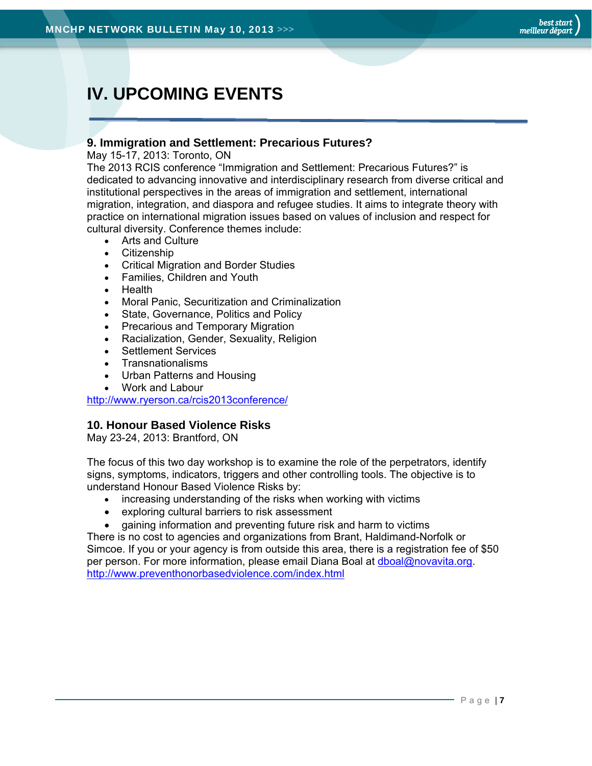# **IV. UPCOMING EVENTS**

## **9. Immigration and Settlement: Precarious Futures?**

May 15-17, 2013: Toronto, ON

The 2013 RCIS conference "Immigration and Settlement: Precarious Futures?" is dedicated to advancing innovative and interdisciplinary research from diverse critical and institutional perspectives in the areas of immigration and settlement, international migration, integration, and diaspora and refugee studies. It aims to integrate theory with practice on international migration issues based on values of inclusion and respect for cultural diversity. Conference themes include:

- Arts and Culture
- Citizenship
- Critical Migration and Border Studies
- Families, Children and Youth
- Health
- Moral Panic, Securitization and Criminalization
- State, Governance, Politics and Policy
- Precarious and Temporary Migration
- Racialization, Gender, Sexuality, Religion
- Settlement Services
- Transnationalisms
- Urban Patterns and Housing
- Work and Labour

http://www.ryerson.ca/rcis2013conference/

## **10. Honour Based Violence Risks**

May 23-24, 2013: Brantford, ON

The focus of this two day workshop is to examine the role of the perpetrators, identify signs, symptoms, indicators, triggers and other controlling tools. The objective is to understand Honour Based Violence Risks by:

- increasing understanding of the risks when working with victims
- exploring cultural barriers to risk assessment
- gaining information and preventing future risk and harm to victims

There is no cost to agencies and organizations from Brant, Haldimand-Norfolk or Simcoe. If you or your agency is from outside this area, there is a registration fee of \$50 per person. For more information, please email Diana Boal at dboal@novavita.org. http://www.preventhonorbasedviolence.com/index.html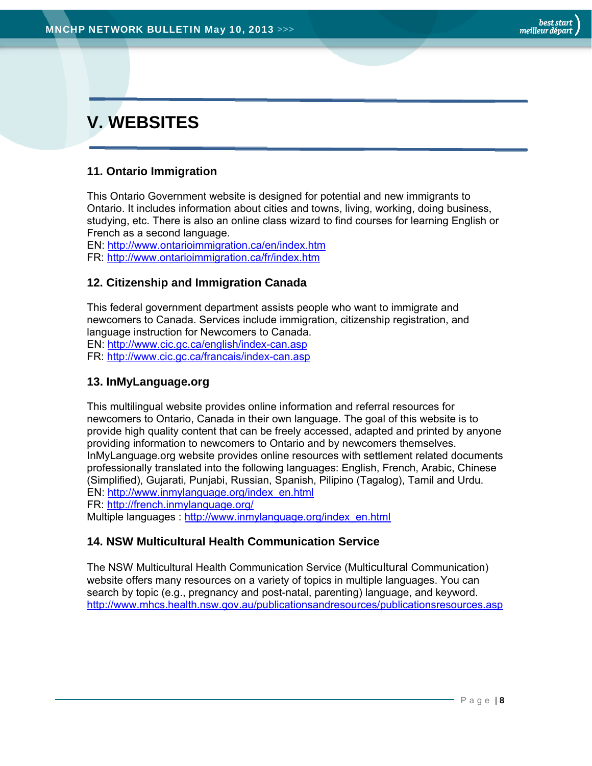# **V. WEBSITES**

## **11. Ontario Immigration**

This Ontario Government website is designed for potential and new immigrants to Ontario. It includes information about cities and towns, living, working, doing business, studying, etc. There is also an online class wizard to find courses for learning English or French as a second language.

EN: http://www.ontarioimmigration.ca/en/index.htm FR: http://www.ontarioimmigration.ca/fr/index.htm

## **12. Citizenship and Immigration Canada**

This federal government department assists people who want to immigrate and newcomers to Canada. Services include immigration, citizenship registration, and language instruction for Newcomers to Canada. EN: http://www.cic.gc.ca/english/index-can.asp

FR: http://www.cic.gc.ca/francais/index-can.asp

## **13. InMyLanguage.org**

This multilingual website provides online information and referral resources for newcomers to Ontario, Canada in their own language. The goal of this website is to provide high quality content that can be freely accessed, adapted and printed by anyone providing information to newcomers to Ontario and by newcomers themselves. InMyLanguage.org website provides online resources with settlement related documents professionally translated into the following languages: English, French, Arabic, Chinese (Simplified), Gujarati, Punjabi, Russian, Spanish, Pilipino (Tagalog), Tamil and Urdu. EN: http://www.inmylanguage.org/index\_en.html

FR: http://french.inmylanguage.org/

Multiple languages : http://www.inmylanguage.org/index\_en.html

## **14. NSW Multicultural Health Communication Service**

The NSW Multicultural Health Communication Service (Multicultural Communication) website offers many resources on a variety of topics in multiple languages. You can search by topic (e.g., pregnancy and post-natal, parenting) language, and keyword. http://www.mhcs.health.nsw.gov.au/publicationsandresources/publicationsresources.asp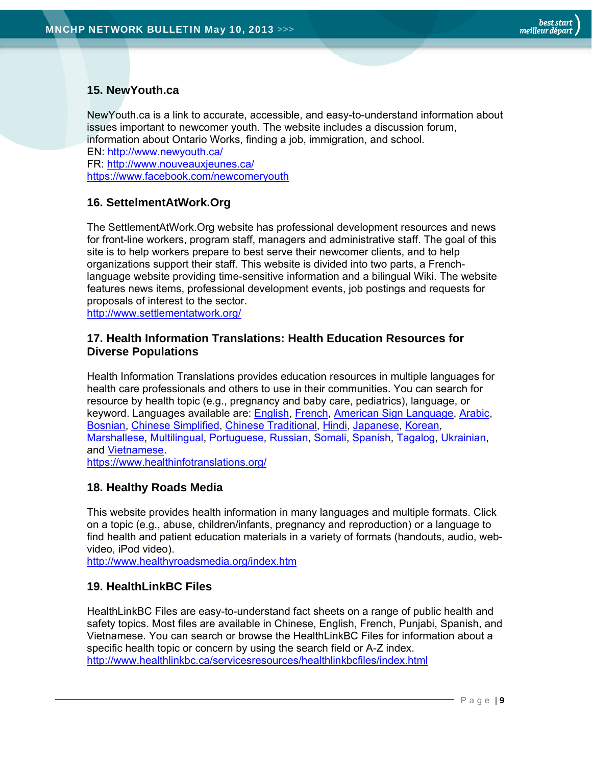## **15. NewYouth.ca**

NewYouth.ca is a link to accurate, accessible, and easy-to-understand information about issues important to newcomer youth. The website includes a discussion forum, information about Ontario Works, finding a job, immigration, and school.

EN: http://www.newyouth.ca/ FR: http://www.nouveauxjeunes.ca/ https://www.facebook.com/newcomeryouth

## **16. SettelmentAtWork.Org**

The SettlementAtWork.Org website has professional development resources and news for front-line workers, program staff, managers and administrative staff. The goal of this site is to help workers prepare to best serve their newcomer clients, and to help organizations support their staff. This website is divided into two parts, a Frenchlanguage website providing time-sensitive information and a bilingual Wiki. The website features news items, professional development events, job postings and requests for proposals of interest to the sector.

http://www.settlementatwork.org/

## **17. Health Information Translations: Health Education Resources for Diverse Populations**

Health Information Translations provides education resources in multiple languages for health care professionals and others to use in their communities. You can search for resource by health topic (e.g., pregnancy and baby care, pediatrics), language, or keyword. Languages available are: English, French, American Sign Language, Arabic, Bosnian, Chinese Simplified, Chinese Traditional, Hindi, Japanese, Korean, Marshallese, Multilingual, Portuguese, Russian, Somali, Spanish, Tagalog, Ukrainian, and Vietnamese. https://www.healthinfotranslations.org/

## **18. Healthy Roads Media**

This website provides health information in many languages and multiple formats. Click on a topic (e.g., abuse, children/infants, pregnancy and reproduction) or a language to find health and patient education materials in a variety of formats (handouts, audio, webvideo, iPod video).

http://www.healthyroadsmedia.org/index.htm

## **19. HealthLinkBC Files**

HealthLinkBC Files are easy-to-understand fact sheets on a range of public health and safety topics. Most files are available in Chinese, English, French, Punjabi, Spanish, and Vietnamese. You can search or browse the HealthLinkBC Files for information about a specific health topic or concern by using the search field or A-Z index. http://www.healthlinkbc.ca/servicesresources/healthlinkbcfiles/index.html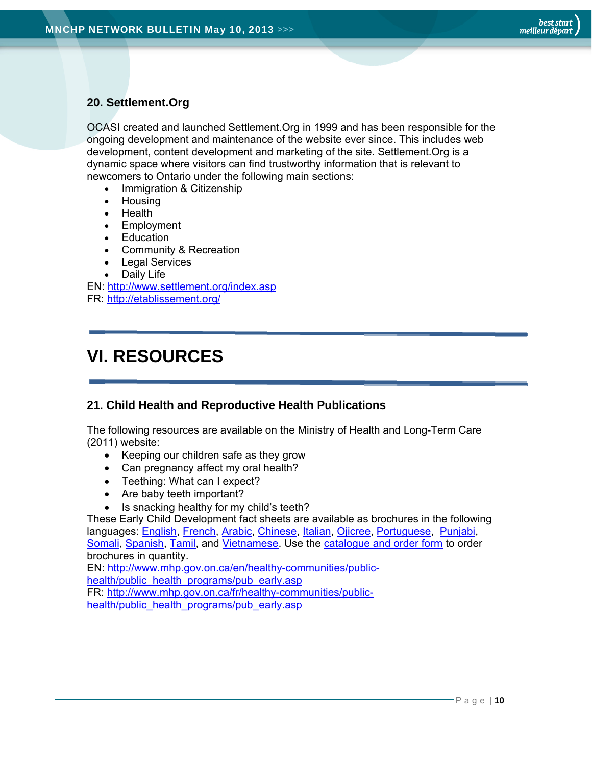## **20. Settlement.Org**

OCASI created and launched Settlement.Org in 1999 and has been responsible for the ongoing development and maintenance of the website ever since. This includes web development, content development and marketing of the site. Settlement.Org is a dynamic space where visitors can find trustworthy information that is relevant to newcomers to Ontario under the following main sections:

- Immigration & Citizenship
- Housing
- Health
- Employment
- Education
- Community & Recreation
- Legal Services
- Daily Life

EN: http://www.settlement.org/index.asp FR: http://etablissement.org/

# **VI. RESOURCES**

## **21. Child Health and Reproductive Health Publications**

The following resources are available on the Ministry of Health and Long-Term Care (2011) website:

- Keeping our children safe as they grow
- Can pregnancy affect my oral health?
- Teething: What can I expect?
- Are baby teeth important?
- Is snacking healthy for my child's teeth?

These Early Child Development fact sheets are available as brochures in the following languages: English, French, Arabic, Chinese, Italian, Ojicree, Portuguese, Punjabi, Somali, Spanish, Tamil, and Vietnamese. Use the catalogue and order form to order brochures in quantity.

EN: http://www.mhp.gov.on.ca/en/healthy-communities/publichealth/public\_health\_programs/pub\_early.asp FR: http://www.mhp.gov.on.ca/fr/healthy-communities/publichealth/public\_health\_programs/pub\_early.asp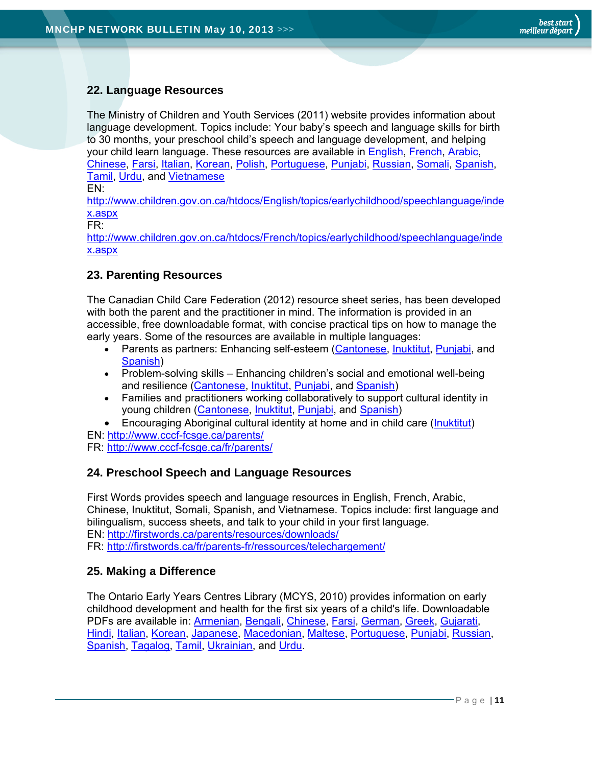## **22. Language Resources**

The Ministry of Children and Youth Services (2011) website provides information about language development. Topics include: Your baby's speech and language skills for birth to 30 months, your preschool child's speech and language development, and helping your child learn language. These resources are available in English, French, Arabic, Chinese, Farsi, Italian, Korean, Polish, Portuguese, Punjabi, Russian, Somali, Spanish, Tamil, Urdu, and Vietnamese

EN:

http://www.children.gov.on.ca/htdocs/English/topics/earlychildhood/speechlanguage/inde x.aspx

FR:

http://www.children.gov.on.ca/htdocs/French/topics/earlychildhood/speechlanguage/inde x.aspx

## **23. Parenting Resources**

The Canadian Child Care Federation (2012) resource sheet series, has been developed with both the parent and the practitioner in mind. The information is provided in an accessible, free downloadable format, with concise practical tips on how to manage the early years. Some of the resources are available in multiple languages:

- Parents as partners: Enhancing self-esteem (Cantonese, Inuktitut, Punjabi, and Spanish)
- Problem-solving skills Enhancing children's social and emotional well-being and resilience (Cantonese, Inuktitut, Punjabi, and Spanish)
- Families and practitioners working collaboratively to support cultural identity in young children (Cantonese, Inuktitut, Punjabi, and Spanish)
- Encouraging Aboriginal cultural identity at home and in child care (Inuktitut)

EN: http://www.cccf-fcsge.ca/parents/

FR: http://www.cccf-fcsge.ca/fr/parents/

## **24. Preschool Speech and Language Resources**

First Words provides speech and language resources in English, French, Arabic, Chinese, Inuktitut, Somali, Spanish, and Vietnamese. Topics include: first language and bilingualism, success sheets, and talk to your child in your first language. EN: http://firstwords.ca/parents/resources/downloads/

FR: http://firstwords.ca/fr/parents-fr/ressources/telechargement/

## **25. Making a Difference**

The Ontario Early Years Centres Library (MCYS, 2010) provides information on early childhood development and health for the first six years of a child's life. Downloadable PDFs are available in: Armenian, Bengali, Chinese, Farsi, German, Greek, Gujarati, Hindi, Italian, Korean, Japanese, Macedonian, Maltese, Portuguese, Punjabi, Russian, Spanish, Tagalog, Tamil, Ukrainian, and Urdu.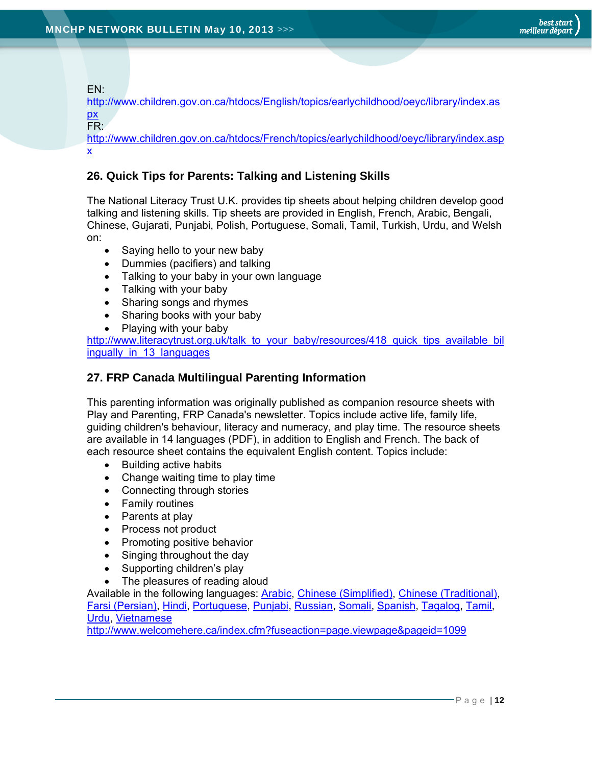EN:

http://www.children.gov.on.ca/htdocs/English/topics/earlychildhood/oeyc/library/index.as px FR:

http://www.children.gov.on.ca/htdocs/French/topics/earlychildhood/oeyc/library/index.asp x

## **26. Quick Tips for Parents: Talking and Listening Skills**

The National Literacy Trust U.K. provides tip sheets about helping children develop good talking and listening skills. Tip sheets are provided in English, French, Arabic, Bengali, Chinese, Gujarati, Punjabi, Polish, Portuguese, Somali, Tamil, Turkish, Urdu, and Welsh on:

- Saying hello to your new baby
- Dummies (pacifiers) and talking
- Talking to your baby in your own language
- Talking with your baby
- Sharing songs and rhymes
- Sharing books with your baby
- Playing with your baby

http://www.literacytrust.org.uk/talk\_to\_your\_baby/resources/418\_quick\_tips\_available\_bil ingually in 13 languages

## **27. FRP Canada Multilingual Parenting Information**

This parenting information was originally published as companion resource sheets with Play and Parenting, FRP Canada's newsletter. Topics include active life, family life, guiding children's behaviour, literacy and numeracy, and play time. The resource sheets are available in 14 languages (PDF), in addition to English and French. The back of each resource sheet contains the equivalent English content. Topics include:

- Building active habits
- Change waiting time to play time
- Connecting through stories
- Family routines
- Parents at play
- Process not product
- Promoting positive behavior
- Singing throughout the day
- Supporting children's play
- The pleasures of reading aloud

Available in the following languages: Arabic, Chinese (Simplified), Chinese (Traditional), Farsi (Persian), Hindi, Portuguese, Punjabi, Russian, Somali, Spanish, Tagalog, Tamil, Urdu, Vietnamese

http://www.welcomehere.ca/index.cfm?fuseaction=page.viewpage&pageid=1099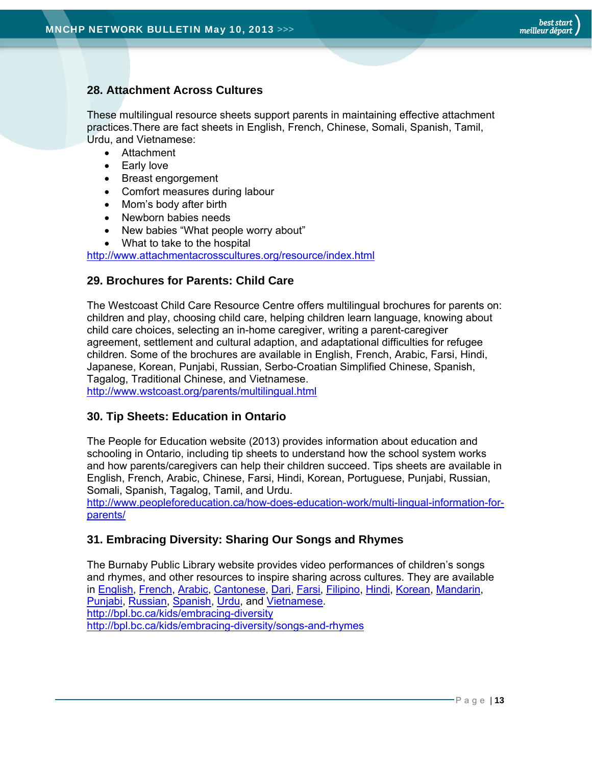## **28. Attachment Across Cultures**

These multilingual resource sheets support parents in maintaining effective attachment practices.There are fact sheets in English, French, Chinese, Somali, Spanish, Tamil, Urdu, and Vietnamese:

- Attachment
- Early love
- Breast engorgement
- Comfort measures during labour
- Mom's body after birth
- Newborn babies needs
- New babies "What people worry about"
- What to take to the hospital

http://www.attachmentacrosscultures.org/resource/index.html

## **29. Brochures for Parents: Child Care**

The Westcoast Child Care Resource Centre offers multilingual brochures for parents on: children and play, choosing child care, helping children learn language, knowing about child care choices, selecting an in-home caregiver, writing a parent-caregiver agreement, settlement and cultural adaption, and adaptational difficulties for refugee children. Some of the brochures are available in English, French, Arabic, Farsi, Hindi, Japanese, Korean, Punjabi, Russian, Serbo-Croatian Simplified Chinese, Spanish, Tagalog, Traditional Chinese, and Vietnamese. http://www.wstcoast.org/parents/multilingual.html

## **30. Tip Sheets: Education in Ontario**

The People for Education website (2013) provides information about education and schooling in Ontario, including tip sheets to understand how the school system works and how parents/caregivers can help their children succeed. Tips sheets are available in English, French, Arabic, Chinese, Farsi, Hindi, Korean, Portuguese, Punjabi, Russian, Somali, Spanish, Tagalog, Tamil, and Urdu.

http://www.peopleforeducation.ca/how-does-education-work/multi-lingual-information-forparents/

## **31. Embracing Diversity: Sharing Our Songs and Rhymes**

The Burnaby Public Library website provides video performances of children's songs and rhymes, and other resources to inspire sharing across cultures. They are available in English, French, Arabic, Cantonese, Dari, Farsi, Filipino, Hindi, Korean, Mandarin, Punjabi, Russian, Spanish, Urdu, and Vietnamese. http://bpl.bc.ca/kids/embracing-diversity http://bpl.bc.ca/kids/embracing-diversity/songs-and-rhymes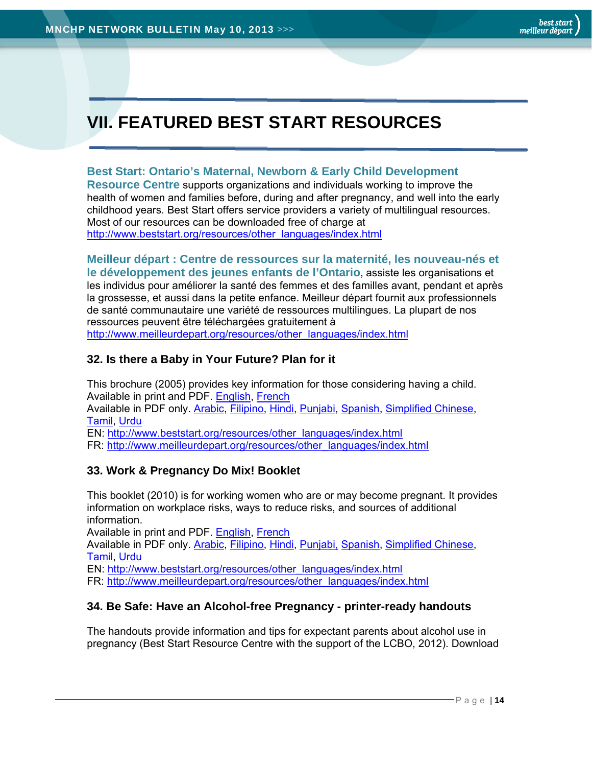# **VII. FEATURED BEST START RESOURCES**

## **Best Start: Ontario's Maternal, Newborn & Early Child Development**

**Resource Centre** supports organizations and individuals working to improve the health of women and families before, during and after pregnancy, and well into the early childhood years. Best Start offers service providers a variety of multilingual resources. Most of our resources can be downloaded free of charge at http://www.beststart.org/resources/other\_languages/index.html

#### **Meilleur départ : Centre de ressources sur la maternité, les nouveau-nés et le développement des jeunes enfants de l'Ontario**, assiste les organisations et

les individus pour améliorer la santé des femmes et des familles avant, pendant et après la grossesse, et aussi dans la petite enfance. Meilleur départ fournit aux professionnels de santé communautaire une variété de ressources multilingues. La plupart de nos ressources peuvent être téléchargées gratuitement à http://www.meilleurdepart.org/resources/other\_languages/index.html

## **32. Is there a Baby in Your Future? Plan for it**

This brochure (2005) provides key information for those considering having a child. Available in print and PDF. English, French Available in PDF only. Arabic, Filipino, Hindi, Punjabi, Spanish, Simplified Chinese, Tamil, Urdu EN: http://www.beststart.org/resources/other\_languages/index.html FR: http://www.meilleurdepart.org/resources/other\_languages/index.html

## **33. Work & Pregnancy Do Mix! Booklet**

This booklet (2010) is for working women who are or may become pregnant. It provides information on workplace risks, ways to reduce risks, and sources of additional information.

Available in print and PDF. English, French

Available in PDF only. Arabic, Filipino, Hindi, Punjabi, Spanish, Simplified Chinese, Tamil, Urdu

EN: http://www.beststart.org/resources/other\_languages/index.html

FR: http://www.meilleurdepart.org/resources/other\_languages/index.html

## **34. Be Safe: Have an Alcohol-free Pregnancy - printer-ready handouts**

The handouts provide information and tips for expectant parents about alcohol use in pregnancy (Best Start Resource Centre with the support of the LCBO, 2012). Download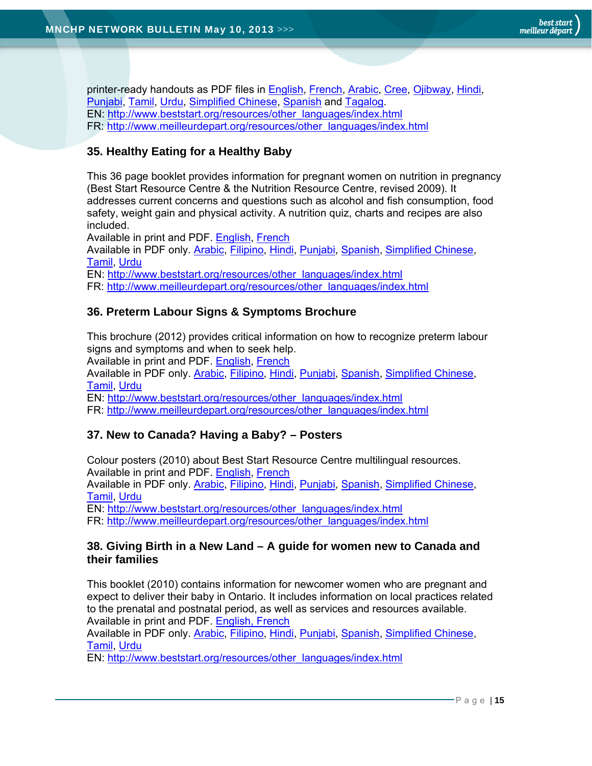printer-ready handouts as PDF files in **English, French, Arabic, Cree, Ojibway**, Hindi, Punjabi, Tamil, Urdu, Simplified Chinese, Spanish and Tagalog. EN: http://www.beststart.org/resources/other\_languages/index.html FR: http://www.meilleurdepart.org/resources/other\_languages/index.html

## **35. Healthy Eating for a Healthy Baby**

This 36 page booklet provides information for pregnant women on nutrition in pregnancy (Best Start Resource Centre & the Nutrition Resource Centre, revised 2009). It addresses current concerns and questions such as alcohol and fish consumption, food safety, weight gain and physical activity. A nutrition quiz, charts and recipes are also included.

Available in print and PDF. English, French

Available in PDF only. Arabic, Filipino, Hindi, Punjabi, Spanish, Simplified Chinese, Tamil, Urdu

EN: http://www.beststart.org/resources/other\_languages/index.html

FR: http://www.meilleurdepart.org/resources/other\_languages/index.html

## **36. Preterm Labour Signs & Symptoms Brochure**

This brochure (2012) provides critical information on how to recognize preterm labour signs and symptoms and when to seek help.

Available in print and PDF. English, French

Available in PDF only. Arabic, Filipino, Hindi, Punjabi, Spanish, Simplified Chinese, Tamil, Urdu

EN: http://www.beststart.org/resources/other\_languages/index.html

FR: http://www.meilleurdepart.org/resources/other\_languages/index.html

## **37. New to Canada? Having a Baby? – Posters**

Colour posters (2010) about Best Start Resource Centre multilingual resources. Available in print and PDF. English, French Available in PDF only. Arabic, Filipino, Hindi, Punjabi, Spanish, Simplified Chinese, Tamil, Urdu EN: http://www.beststart.org/resources/other\_languages/index.html FR: http://www.meilleurdepart.org/resources/other\_languages/index.html

## **38. Giving Birth in a New Land – A guide for women new to Canada and their families**

This booklet (2010) contains information for newcomer women who are pregnant and expect to deliver their baby in Ontario. It includes information on local practices related to the prenatal and postnatal period, as well as services and resources available. Available in print and PDF. English, French

Available in PDF only. Arabic, Filipino, Hindi, Punjabi, Spanish, Simplified Chinese, Tamil, Urdu

EN: http://www.beststart.org/resources/other\_languages/index.html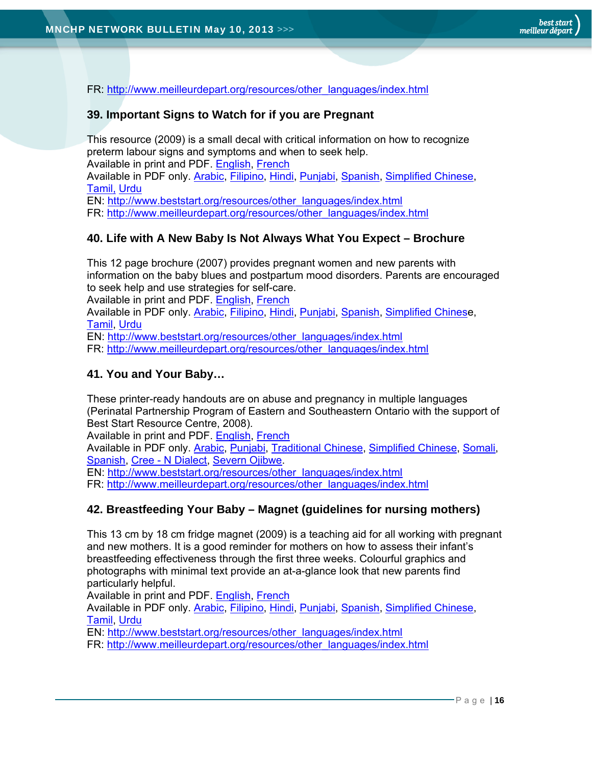FR: http://www.meilleurdepart.org/resources/other\_languages/index.html

## **39. Important Signs to Watch for if you are Pregnant**

This resource (2009) is a small decal with critical information on how to recognize preterm labour signs and symptoms and when to seek help. Available in print and PDF. English, French

Available in PDF only. Arabic, Filipino, Hindi, Punjabi, Spanish, Simplified Chinese, Tamil, Urdu

EN: http://www.beststart.org/resources/other\_languages/index.html

FR: http://www.meilleurdepart.org/resources/other\_languages/index.html

## **40. Life with A New Baby Is Not Always What You Expect – Brochure**

This 12 page brochure (2007) provides pregnant women and new parents with information on the baby blues and postpartum mood disorders. Parents are encouraged to seek help and use strategies for self-care. Available in print and PDF. English, French

Available in PDF only. Arabic, Filipino, Hindi, Punjabi, Spanish, Simplified Chinese, Tamil, Urdu

EN: http://www.beststart.org/resources/other\_languages/index.html

FR: http://www.meilleurdepart.org/resources/other\_languages/index.html

## **41. You and Your Baby…**

These printer-ready handouts are on abuse and pregnancy in multiple languages (Perinatal Partnership Program of Eastern and Southeastern Ontario with the support of Best Start Resource Centre, 2008).

Available in print and PDF. English, French

Available in PDF only. Arabic, Punjabi, Traditional Chinese, Simplified Chinese, Somali, Spanish, Cree - N Dialect, Severn Ojibwe.

EN: http://www.beststart.org/resources/other\_languages/index.html

FR: http://www.meilleurdepart.org/resources/other\_languages/index.html

## **42. Breastfeeding Your Baby – Magnet (guidelines for nursing mothers)**

This 13 cm by 18 cm fridge magnet (2009) is a teaching aid for all working with pregnant and new mothers. It is a good reminder for mothers on how to assess their infant's breastfeeding effectiveness through the first three weeks. Colourful graphics and photographs with minimal text provide an at-a-glance look that new parents find particularly helpful.

Available in print and PDF. English, French

Available in PDF only. Arabic, Filipino, Hindi, Punjabi, Spanish, Simplified Chinese, Tamil, Urdu

EN: http://www.beststart.org/resources/other\_languages/index.html

FR: http://www.meilleurdepart.org/resources/other\_languages/index.html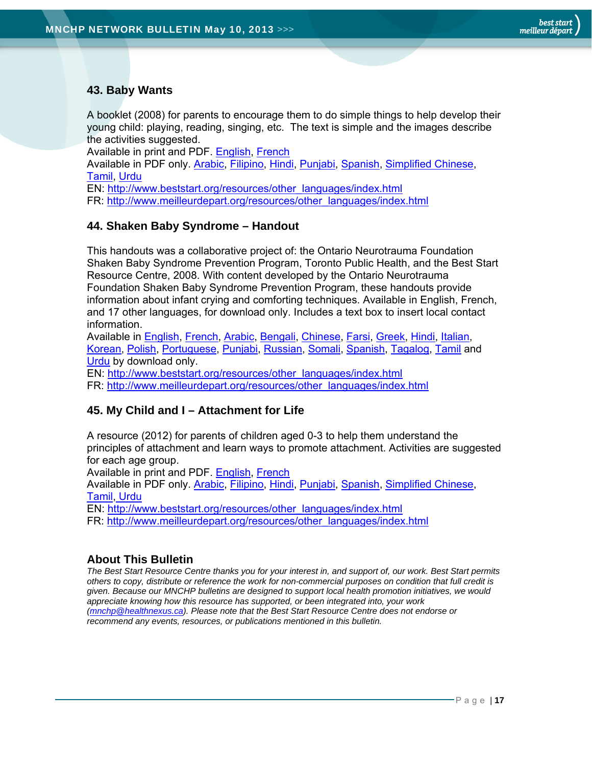## **43. Baby Wants**

A booklet (2008) for parents to encourage them to do simple things to help develop their young child: playing, reading, singing, etc. The text is simple and the images describe the activities suggested.

Available in print and PDF. English, French

Available in PDF only. Arabic, Filipino, Hindi, Punjabi, Spanish, Simplified Chinese, Tamil, Urdu

EN: http://www.beststart.org/resources/other\_languages/index.html FR: http://www.meilleurdepart.org/resources/other\_languages/index.html

## **44. Shaken Baby Syndrome – Handout**

This handouts was a collaborative project of: the Ontario Neurotrauma Foundation Shaken Baby Syndrome Prevention Program, Toronto Public Health, and the Best Start Resource Centre, 2008. With content developed by the Ontario Neurotrauma Foundation Shaken Baby Syndrome Prevention Program, these handouts provide information about infant crying and comforting techniques. Available in English, French, and 17 other languages, for download only. Includes a text box to insert local contact information.

Available in English, French, Arabic, Bengali, Chinese, Farsi, Greek, Hindi, Italian, Korean, Polish, Portuguese, Punjabi, Russian, Somali, Spanish, Tagalog, Tamil and Urdu by download only.

EN: http://www.beststart.org/resources/other\_languages/index.html

FR: http://www.meilleurdepart.org/resources/other\_languages/index.html

## **45. My Child and I – Attachment for Life**

A resource (2012) for parents of children aged 0-3 to help them understand the principles of attachment and learn ways to promote attachment. Activities are suggested for each age group.

Available in print and PDF. English, French

Available in PDF only. Arabic, Filipino, Hindi, Punjabi, Spanish, Simplified Chinese, Tamil, Urdu

EN: http://www.beststart.org/resources/other\_languages/index.html

FR: http://www.meilleurdepart.org/resources/other\_languages/index.html

## **About This Bulletin**

*The Best Start Resource Centre thanks you for your interest in, and support of, our work. Best Start permits others to copy, distribute or reference the work for non-commercial purposes on condition that full credit is given. Because our MNCHP bulletins are designed to support local health promotion initiatives, we would appreciate knowing how this resource has supported, or been integrated into, your work (mnchp@healthnexus.ca). Please note that the Best Start Resource Centre does not endorse or recommend any events, resources, or publications mentioned in this bulletin.*